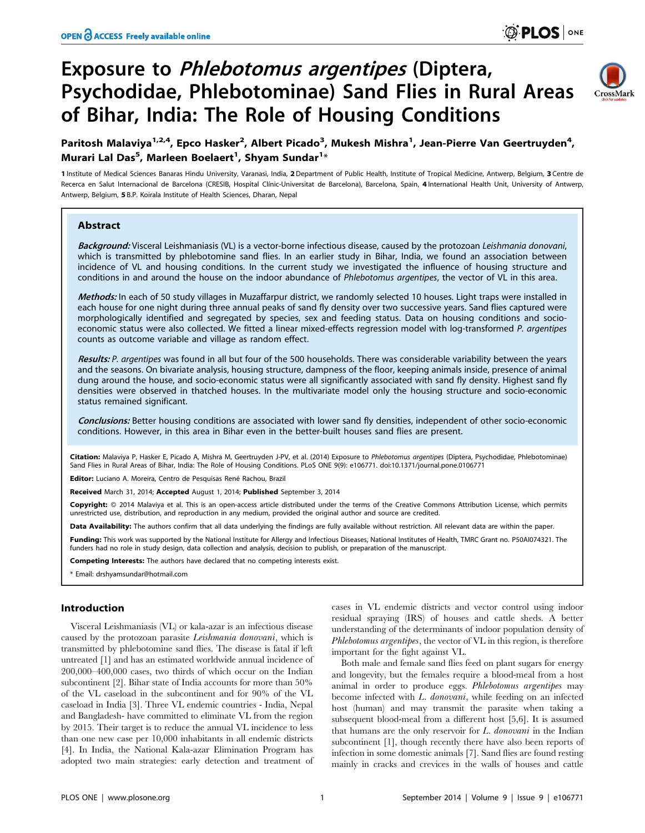# Exposure to Phlebotomus argentipes (Diptera, Psychodidae, Phlebotominae) Sand Flies in Rural Areas of Bihar, India: The Role of Housing Conditions



# Paritosh Malaviya<sup>1,2,4</sup>, Epco Hasker<sup>2</sup>, Albert Picado<sup>3</sup>, Mukesh Mishra<sup>1</sup>, Jean-Pierre Van Geertruyden<sup>4</sup>, Murari Lal Das $^5$ , Marleen Boelaert $^1$ , Shyam Sundar $^{1\ast}$

1 Institute of Medical Sciences Banaras Hindu University, Varanasi, India, 2 Department of Public Health, Institute of Tropical Medicine, Antwerp, Belgium, 3 Centre de Recerca en Salut Internacional de Barcelona (CRESIB, Hospital Clínic-Universitat de Barcelona), Barcelona, Spain, 4 International Health Unit, University of Antwerp, Antwerp, Belgium, 5 B.P. Koirala Institute of Health Sciences, Dharan, Nepal

### Abstract

Background: Visceral Leishmaniasis (VL) is a vector-borne infectious disease, caused by the protozoan Leishmania donovani, which is transmitted by phlebotomine sand flies. In an earlier study in Bihar, India, we found an association between incidence of VL and housing conditions. In the current study we investigated the influence of housing structure and conditions in and around the house on the indoor abundance of Phlebotomus argentipes, the vector of VL in this area.

Methods: In each of 50 study villages in Muzaffarpur district, we randomly selected 10 houses. Light traps were installed in each house for one night during three annual peaks of sand fly density over two successive years. Sand flies captured were morphologically identified and segregated by species, sex and feeding status. Data on housing conditions and socioeconomic status were also collected. We fitted a linear mixed-effects regression model with log-transformed P. argentipes counts as outcome variable and village as random effect.

Results: P. argentipes was found in all but four of the 500 households. There was considerable variability between the years and the seasons. On bivariate analysis, housing structure, dampness of the floor, keeping animals inside, presence of animal dung around the house, and socio-economic status were all significantly associated with sand fly density. Highest sand fly densities were observed in thatched houses. In the multivariate model only the housing structure and socio-economic status remained significant.

Conclusions: Better housing conditions are associated with lower sand fly densities, independent of other socio-economic conditions. However, in this area in Bihar even in the better-built houses sand flies are present.

Citation: Malaviya P, Hasker E, Picado A, Mishra M, Geertruyden J-PV, et al. (2014) Exposure to Phlebotomus argentipes (Diptera, Psychodidae, Phlebotominae) Sand Flies in Rural Areas of Bihar, India: The Role of Housing Conditions. PLoS ONE 9(9): e106771. doi:10.1371/journal.pone.0106771

Editor: Luciano A. Moreira, Centro de Pesquisas René Rachou, Brazil

Received March 31, 2014; Accepted August 1, 2014; Published September 3, 2014

Copyright: © 2014 Malaviya et al. This is an open-access article distributed under the terms of the [Creative Commons Attribution License,](http://creativecommons.org/licenses/by/4.0/) which permits unrestricted use, distribution, and reproduction in any medium, provided the original author and source are credited.

Data Availability: The authors confirm that all data underlying the findings are fully available without restriction. All relevant data are within the paper.

Funding: This work was supported by the National Institute for Allergy and Infectious Diseases, National Institutes of Health, TMRC Grant no. P50AI074321. The funders had no role in study design, data collection and analysis, decision to publish, or preparation of the manuscript.

Competing Interests: The authors have declared that no competing interests exist.

\* Email: drshyamsundar@hotmail.com

# Introduction

Visceral Leishmaniasis (VL) or kala-azar is an infectious disease caused by the protozoan parasite Leishmania donovani, which is transmitted by phlebotomine sand flies. The disease is fatal if left untreated [1] and has an estimated worldwide annual incidence of 200,000–400,000 cases, two thirds of which occur on the Indian subcontinent [2]. Bihar state of India accounts for more than 50% of the VL caseload in the subcontinent and for 90% of the VL caseload in India [3]. Three VL endemic countries - India, Nepal and Bangladesh- have committed to eliminate VL from the region by 2015. Their target is to reduce the annual VL incidence to less than one new case per 10,000 inhabitants in all endemic districts [4]. In India, the National Kala-azar Elimination Program has adopted two main strategies: early detection and treatment of cases in VL endemic districts and vector control using indoor residual spraying (IRS) of houses and cattle sheds. A better understanding of the determinants of indoor population density of Phlebotomus argentipes, the vector of VL in this region, is therefore important for the fight against VL.

Both male and female sand flies feed on plant sugars for energy and longevity, but the females require a blood-meal from a host animal in order to produce eggs. Phlebotomus argentipes may become infected with L. donovani, while feeding on an infected host (human) and may transmit the parasite when taking a subsequent blood-meal from a different host [5,6]. It is assumed that humans are the only reservoir for L. donovani in the Indian subcontinent [1], though recently there have also been reports of infection in some domestic animals [7]. Sand flies are found resting mainly in cracks and crevices in the walls of houses and cattle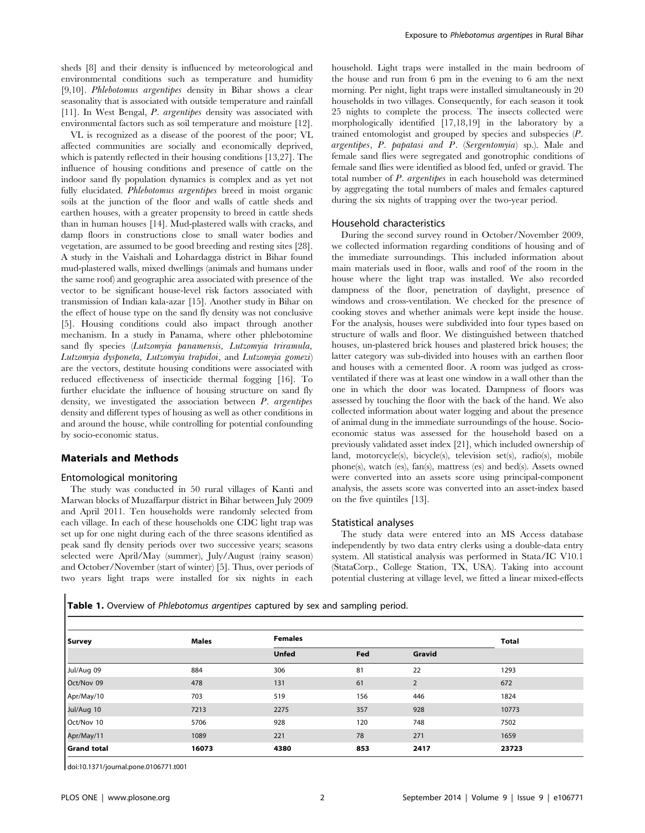sheds [8] and their density is influenced by meteorological and environmental conditions such as temperature and humidity [9,10]. Phlebotomus argentipes density in Bihar shows a clear seasonality that is associated with outside temperature and rainfall [11]. In West Bengal, P. argentipes density was associated with environmental factors such as soil temperature and moisture [12].

VL is recognized as a disease of the poorest of the poor; VL affected communities are socially and economically deprived, which is patently reflected in their housing conditions [13,27]. The influence of housing conditions and presence of cattle on the indoor sand fly population dynamics is complex and as yet not fully elucidated. *Phlebotomus argentipes* breed in moist organic soils at the junction of the floor and walls of cattle sheds and earthen houses, with a greater propensity to breed in cattle sheds than in human houses [14]. Mud-plastered walls with cracks, and damp floors in constructions close to small water bodies and vegetation, are assumed to be good breeding and resting sites [28]. A study in the Vaishali and Lohardagga district in Bihar found mud-plastered walls, mixed dwellings (animals and humans under the same roof) and geographic area associated with presence of the vector to be significant house-level risk factors associated with transmission of Indian kala-azar [15]. Another study in Bihar on the effect of house type on the sand fly density was not conclusive [5]. Housing conditions could also impact through another mechanism. In a study in Panama, where other phlebotomine sand fly species (Lutzomyia panamensis, Lutzomyia triramula, Lutzomyia dysponeta, Lutzomyia trapidoi, and Lutzomyia gomezi) are the vectors, destitute housing conditions were associated with reduced effectiveness of insecticide thermal fogging [16]. To further elucidate the influence of housing structure on sand fly density, we investigated the association between P. argentipes density and different types of housing as well as other conditions in and around the house, while controlling for potential confounding by socio-economic status.

# Materials and Methods

#### Entomological monitoring

The study was conducted in 50 rural villages of Kanti and Marwan blocks of Muzaffarpur district in Bihar between July 2009 and April 2011. Ten households were randomly selected from each village. In each of these households one CDC light trap was set up for one night during each of the three seasons identified as peak sand fly density periods over two successive years; seasons selected were April/May (summer), July/August (rainy season) and October/November (start of winter) [5]. Thus, over periods of two years light traps were installed for six nights in each household. Light traps were installed in the main bedroom of the house and run from 6 pm in the evening to 6 am the next morning. Per night, light traps were installed simultaneously in 20 households in two villages. Consequently, for each season it took 25 nights to complete the process. The insects collected were morphologically identified [17,18,19] in the laboratory by a trained entomologist and grouped by species and subspecies (P. argentipes, P. papatasi and P. (Sergentomyia) sp.). Male and female sand flies were segregated and gonotrophic conditions of female sand flies were identified as blood fed, unfed or gravid. The total number of P. argentipes in each household was determined by aggregating the total numbers of males and females captured during the six nights of trapping over the two-year period.

#### Household characteristics

During the second survey round in October/November 2009, we collected information regarding conditions of housing and of the immediate surroundings. This included information about main materials used in floor, walls and roof of the room in the house where the light trap was installed. We also recorded dampness of the floor, penetration of daylight, presence of windows and cross-ventilation. We checked for the presence of cooking stoves and whether animals were kept inside the house. For the analysis, houses were subdivided into four types based on structure of walls and floor. We distinguished between thatched houses, un-plastered brick houses and plastered brick houses; the latter category was sub-divided into houses with an earthen floor and houses with a cemented floor. A room was judged as crossventilated if there was at least one window in a wall other than the one in which the door was located. Dampness of floors was assessed by touching the floor with the back of the hand. We also collected information about water logging and about the presence of animal dung in the immediate surroundings of the house. Socioeconomic status was assessed for the household based on a previously validated asset index [21], which included ownership of land, motorcycle(s), bicycle(s), television set(s), radio(s), mobile phone(s), watch (es), fan(s), mattress (es) and bed(s). Assets owned were converted into an assets score using principal-component analysis, the assets score was converted into an asset-index based on the five quintiles [13].

#### Statistical analyses

The study data were entered into an MS Access database independently by two data entry clerks using a double-data entry system. All statistical analysis was performed in Stata/IC V10.1 (StataCorp., College Station, TX, USA). Taking into account potential clustering at village level, we fitted a linear mixed-effects

Table 1. Overview of Phlebotomus argentipes captured by sex and sampling period.

| Survey             | <b>Males</b> | <b>Females</b> |     |                | <b>Total</b> |  |
|--------------------|--------------|----------------|-----|----------------|--------------|--|
|                    |              | <b>Unfed</b>   | Fed | Gravid         |              |  |
| Jul/Aug 09         | 884          | 306            | 81  | 22             | 1293         |  |
| Oct/Nov 09         | 478          | 131            | 61  | $\overline{2}$ | 672          |  |
| Apr/May/10         | 703          | 519            | 156 | 446            | 1824         |  |
| Jul/Aug 10         | 7213         | 2275           | 357 | 928            | 10773        |  |
| Oct/Nov 10         | 5706         | 928            | 120 | 748            | 7502         |  |
| Apr/May/11         | 1089         | 221            | 78  | 271            | 1659         |  |
| <b>Grand total</b> | 16073        | 4380           | 853 | 2417           | 23723        |  |

doi:10.1371/journal.pone.0106771.t001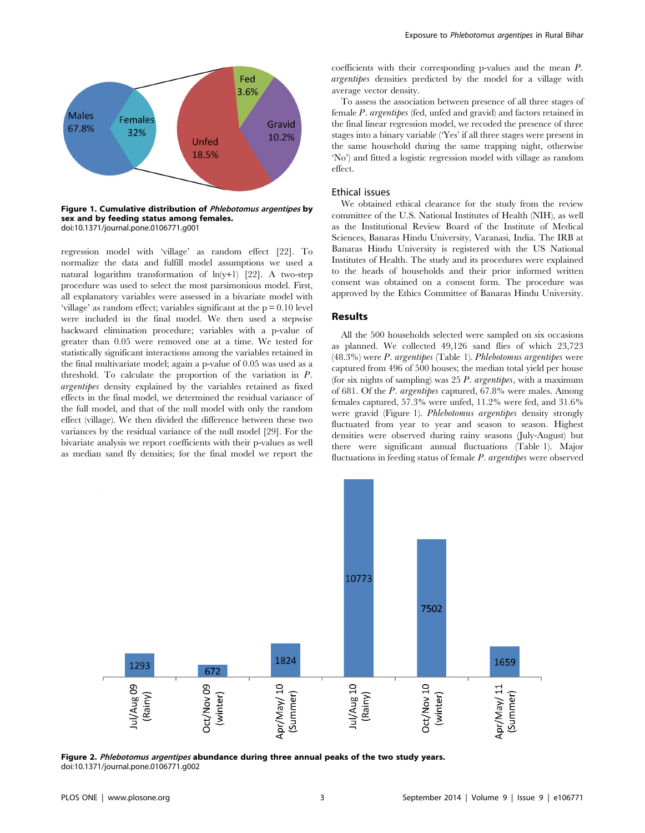

Figure 1. Cumulative distribution of Phlebotomus argentipes by sex and by feeding status among females. doi:10.1371/journal.pone.0106771.g001

regression model with 'village' as random effect [22]. To normalize the data and fulfill model assumptions we used a natural logarithm transformation of  $ln(y+1)$  [22]. A two-step procedure was used to select the most parsimonious model. First, all explanatory variables were assessed in a bivariate model with 'village' as random effect; variables significant at the p = 0.10 level were included in the final model. We then used a stepwise backward elimination procedure; variables with a p-value of greater than 0.05 were removed one at a time. We tested for statistically significant interactions among the variables retained in the final multivariate model; again a p-value of 0.05 was used as a threshold. To calculate the proportion of the variation in P. argentipes density explained by the variables retained as fixed effects in the final model, we determined the residual variance of the full model, and that of the null model with only the random effect (village). We then divided the difference between these two variances by the residual variance of the null model [29]. For the bivariate analysis we report coefficients with their p-values as well as median sand fly densities; for the final model we report the

coefficients with their corresponding p-values and the mean P. argentipes densities predicted by the model for a village with average vector density.

To assess the association between presence of all three stages of female P. argentipes (fed, unfed and gravid) and factors retained in the final linear regression model, we recoded the presence of three stages into a binary variable ('Yes' if all three stages were present in the same household during the same trapping night, otherwise 'No') and fitted a logistic regression model with village as random effect.

#### Ethical issues

We obtained ethical clearance for the study from the review committee of the U.S. National Institutes of Health (NIH), as well as the Institutional Review Board of the Institute of Medical Sciences, Banaras Hindu University, Varanasi, India. The IRB at Banaras Hindu University is registered with the US National Institutes of Health. The study and its procedures were explained to the heads of households and their prior informed written consent was obtained on a consent form. The procedure was approved by the Ethics Committee of Banaras Hindu University.

#### Results

All the 500 households selected were sampled on six occasions as planned. We collected 49,126 sand flies of which 23,723 (48.3%) were P. argentipes (Table 1). Phlebotomus argentipes were captured from 496 of 500 houses; the median total yield per house (for six nights of sampling) was  $25$  P. argentipes, with a maximum of 681. Of the P. argentipes captured, 67.8% were males. Among females captured, 57.3% were unfed, 11.2% were fed, and 31.6% were gravid (Figure 1). Phlebotomus argentipes density strongly fluctuated from year to year and season to season. Highest densities were observed during rainy seasons (July-August) but there were significant annual fluctuations (Table 1). Major fluctuations in feeding status of female P. argentipes were observed



Figure 2. Phlebotomus argentipes abundance during three annual peaks of the two study years. doi:10.1371/journal.pone.0106771.g002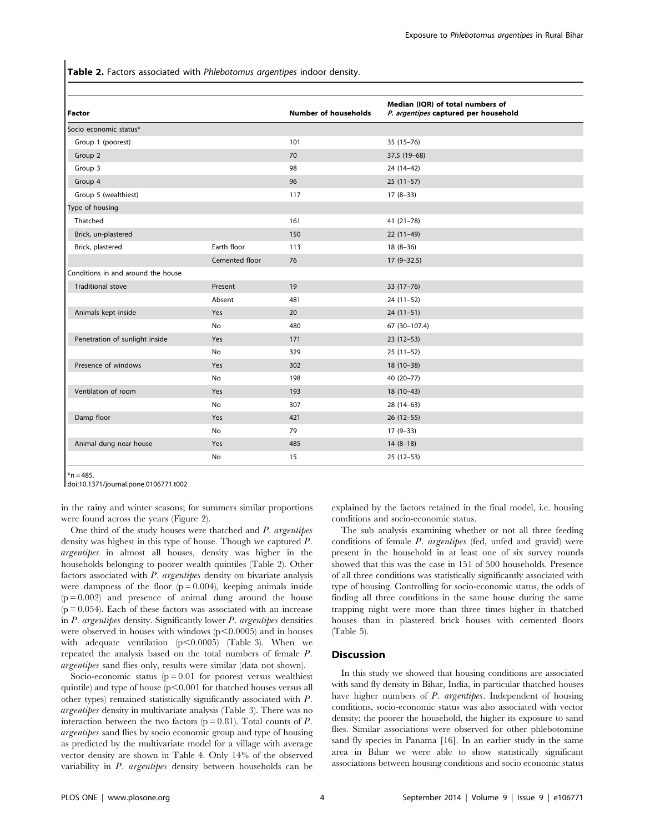Table 2. Factors associated with Phlebotomus argentipes indoor density.

| <b>Factor</b>                      |                | <b>Number of households</b> | Median (IQR) of total numbers of<br>P. argentipes captured per household |
|------------------------------------|----------------|-----------------------------|--------------------------------------------------------------------------|
| Socio economic status*             |                |                             |                                                                          |
| Group 1 (poorest)                  |                | 101                         | $35(15-76)$                                                              |
| Group 2                            |                | 70                          | 37.5 (19-68)                                                             |
| Group 3                            |                | 98                          | $24(14-42)$                                                              |
| Group 4                            |                | 96                          | $25(11-57)$                                                              |
| Group 5 (wealthiest)               |                | 117                         | $17(8-33)$                                                               |
| Type of housing                    |                |                             |                                                                          |
| Thatched                           |                | 161                         | $41(21-78)$                                                              |
| Brick, un-plastered                |                | 150                         | $22(11-49)$                                                              |
| Brick, plastered                   | Earth floor    | 113                         | $18(8-36)$                                                               |
|                                    | Cemented floor | 76                          | $17(9-32.5)$                                                             |
| Conditions in and around the house |                |                             |                                                                          |
| <b>Traditional stove</b>           | Present        | 19                          | $33(17-76)$                                                              |
|                                    | Absent         | 481                         | $24(11-52)$                                                              |
| Animals kept inside                | Yes            | 20                          | $24(11-51)$                                                              |
|                                    | No             | 480                         | 67 (30-107.4)                                                            |
| Penetration of sunlight inside     | Yes            | 171                         | $23(12-53)$                                                              |
|                                    | No             | 329                         | $25(11-52)$                                                              |
| Presence of windows                | Yes            | 302                         | $18(10-38)$                                                              |
|                                    | <b>No</b>      | 198                         | $40(20-77)$                                                              |
| Ventilation of room                | Yes            | 193                         | $18(10-43)$                                                              |
|                                    | No             | 307                         | $28(14-63)$                                                              |
| Damp floor                         | Yes            | 421                         | $26(12-55)$                                                              |
|                                    | No             | 79                          | $17(9-33)$                                                               |
| Animal dung near house             | Yes            | 485                         | $14(8-18)$                                                               |
|                                    | No             | 15                          | $25(12-53)$                                                              |

 $*_{n = 485}$ 

doi:10.1371/journal.pone.0106771.t002

in the rainy and winter seasons; for summers similar proportions were found across the years (Figure 2).

One third of the study houses were thatched and P. argentipes density was highest in this type of house. Though we captured P. argentipes in almost all houses, density was higher in the households belonging to poorer wealth quintiles (Table 2). Other factors associated with P. argentipes density on bivariate analysis were dampness of the floor  $(p = 0.004)$ , keeping animals inside  $(p = 0.002)$  and presence of animal dung around the house  $(p = 0.054)$ . Each of these factors was associated with an increase in P. argentipes density. Significantly lower P. argentipes densities were observed in houses with windows  $(p<0.0005)$  and in houses with adequate ventilation  $(p<0.0005)$  (Table 3). When we repeated the analysis based on the total numbers of female P. argentipes sand flies only, results were similar (data not shown).

Socio-economic status  $(p = 0.01)$  for poorest versus wealthiest quintile) and type of house  $(p<0.001$  for thatched houses versus all other types) remained statistically significantly associated with P. argentipes density in multivariate analysis (Table 3). There was no interaction between the two factors ( $p = 0.81$ ). Total counts of P. argentipes sand flies by socio economic group and type of housing as predicted by the multivariate model for a village with average vector density are shown in Table 4. Only 14% of the observed variability in P. argentipes density between households can be

explained by the factors retained in the final model, i.e. housing conditions and socio-economic status.

The sub analysis examining whether or not all three feeding conditions of female P. argentipes (fed, unfed and gravid) were present in the household in at least one of six survey rounds showed that this was the case in 151 of 500 households. Presence of all three conditions was statistically significantly associated with type of housing. Controlling for socio-economic status, the odds of finding all three conditions in the same house during the same trapping night were more than three times higher in thatched houses than in plastered brick houses with cemented floors (Table 5).

#### **Discussion**

In this study we showed that housing conditions are associated with sand fly density in Bihar, India, in particular thatched houses have higher numbers of *P. argentipes*. Independent of housing conditions, socio-economic status was also associated with vector density; the poorer the household, the higher its exposure to sand flies. Similar associations were observed for other phlebotomine sand fly species in Panama [16]. In an earlier study in the same area in Bihar we were able to show statistically significant associations between housing conditions and socio economic status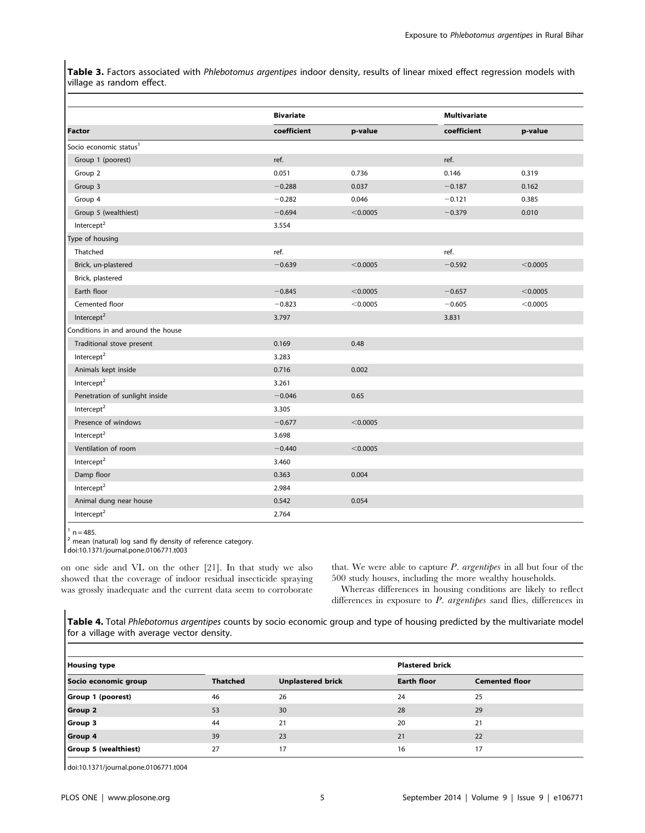Table 3. Factors associated with Phlebotomus argentipes indoor density, results of linear mixed effect regression models with village as random effect.

|                                    | <b>Bivariate</b> |          | <b>Multivariate</b> |          |  |
|------------------------------------|------------------|----------|---------------------|----------|--|
| <b>Factor</b>                      | coefficient      | p-value  | coefficient         | p-value  |  |
| Socio economic status <sup>1</sup> |                  |          |                     |          |  |
| Group 1 (poorest)                  | ref.             |          | ref.                |          |  |
| Group 2                            | 0.051            | 0.736    | 0.146               | 0.319    |  |
| Group 3                            | $-0.288$         | 0.037    | $-0.187$            | 0.162    |  |
| Group 4                            | $-0.282$         | 0.046    | $-0.121$            | 0.385    |  |
| Group 5 (wealthiest)               | $-0.694$         | < 0.0005 | $-0.379$            | 0.010    |  |
| Intercept <sup>2</sup>             | 3.554            |          |                     |          |  |
| Type of housing                    |                  |          |                     |          |  |
| Thatched                           | ref.             |          | ref.                |          |  |
| Brick, un-plastered                | $-0.639$         | < 0.0005 | $-0.592$            | < 0.0005 |  |
| Brick, plastered                   |                  |          |                     |          |  |
| Earth floor                        | $-0.845$         | < 0.0005 | $-0.657$            | < 0.0005 |  |
| Cemented floor                     | $-0.823$         | < 0.0005 | $-0.605$            | < 0.0005 |  |
| Intercept <sup>2</sup>             | 3.797            |          | 3.831               |          |  |
| Conditions in and around the house |                  |          |                     |          |  |
| Traditional stove present          | 0.169            | 0.48     |                     |          |  |
| Intercept <sup>2</sup>             | 3.283            |          |                     |          |  |
| Animals kept inside                | 0.716            | 0.002    |                     |          |  |
| Intercept <sup>2</sup>             | 3.261            |          |                     |          |  |
| Penetration of sunlight inside     | $-0.046$         | 0.65     |                     |          |  |
| Intercept $^2$                     | 3.305            |          |                     |          |  |
| Presence of windows                | $-0.677$         | < 0.0005 |                     |          |  |
| Intercept <sup>2</sup>             | 3.698            |          |                     |          |  |
| Ventilation of room                | $-0.440$         | < 0.0005 |                     |          |  |
| Intercept <sup>2</sup>             | 3.460            |          |                     |          |  |
| Damp floor                         | 0.363            | 0.004    |                     |          |  |
| Intercept <sup>2</sup>             | 2.984            |          |                     |          |  |
| Animal dung near house             | 0.542            | 0.054    |                     |          |  |
| Intercept <sup>2</sup>             | 2.764            |          |                     |          |  |

 $n = 485.$ 

 $2$  mean (natural) log sand fly density of reference category.

doi:10.1371/journal.pone.0106771.t003

on one side and VL on the other [21]. In that study we also showed that the coverage of indoor residual insecticide spraying was grossly inadequate and the current data seem to corroborate that. We were able to capture  $P$ . argentipes in all but four of the 500 study houses, including the more wealthy households.

Whereas differences in housing conditions are likely to reflect differences in exposure to P. argentipes sand flies, differences in

Table 4. Total Phlebotomus argentipes counts by socio economic group and type of housing predicted by the multivariate model for a village with average vector density.

| <b>Housing type</b>  |                 |                          | <b>Plastered brick</b> |                       |
|----------------------|-----------------|--------------------------|------------------------|-----------------------|
| Socio economic group | <b>Thatched</b> | <b>Unplastered brick</b> | <b>Earth floor</b>     | <b>Cemented floor</b> |
| Group 1 (poorest)    | 46              | 26                       | 24                     | 25                    |
| <b>Group 2</b>       | 53              | 30                       | 28                     | 29                    |
| Group 3              | 44              | 21                       | 20                     | 21                    |
| <b>Group 4</b>       | 39              | 23                       | 21                     | 22                    |
| Group 5 (wealthiest) | 27              | 17                       | 16                     | 17                    |

doi:10.1371/journal.pone.0106771.t004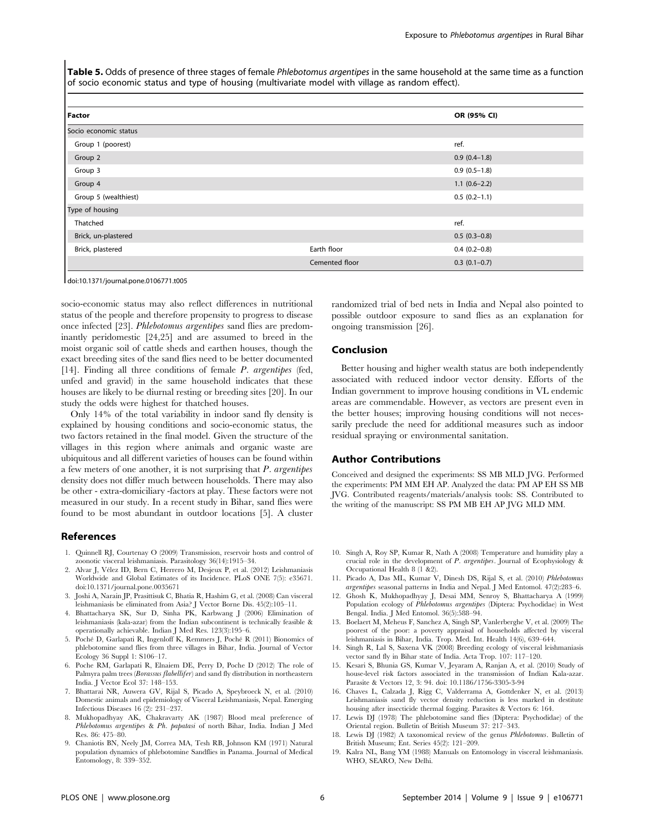Table 5. Odds of presence of three stages of female Phlebotomus argentipes in the same household at the same time as a function of socio economic status and type of housing (multivariate model with village as random effect).

| Factor                |                | OR (95% CI)    |
|-----------------------|----------------|----------------|
| Socio economic status |                |                |
| Group 1 (poorest)     |                | ref.           |
| Group 2               |                | $0.9(0.4-1.8)$ |
| Group 3               |                | $0.9(0.5-1.8)$ |
| Group 4               |                | $1.1(0.6-2.2)$ |
| Group 5 (wealthiest)  |                | $0.5(0.2-1.1)$ |
| Type of housing       |                |                |
| Thatched              |                | ref.           |
| Brick, un-plastered   |                | $0.5(0.3-0.8)$ |
| Brick, plastered      | Earth floor    | $0.4(0.2-0.8)$ |
|                       | Cemented floor | $0.3(0.1-0.7)$ |

doi:10.1371/journal.pone.0106771.t005

socio-economic status may also reflect differences in nutritional status of the people and therefore propensity to progress to disease once infected [23]. Phlebotomus argentipes sand flies are predominantly peridomestic [24,25] and are assumed to breed in the moist organic soil of cattle sheds and earthen houses, though the exact breeding sites of the sand flies need to be better documented [14]. Finding all three conditions of female P. argentipes (fed, unfed and gravid) in the same household indicates that these houses are likely to be diurnal resting or breeding sites [20]. In our study the odds were highest for thatched houses.

Only 14% of the total variability in indoor sand fly density is explained by housing conditions and socio-economic status, the two factors retained in the final model. Given the structure of the villages in this region where animals and organic waste are ubiquitous and all different varieties of houses can be found within a few meters of one another, it is not surprising that P. argentipes density does not differ much between households. There may also be other - extra-domiciliary -factors at play. These factors were not measured in our study. In a recent study in Bihar, sand flies were found to be most abundant in outdoor locations [5]. A cluster

#### References

- 1. Quinnell RJ, Courtenay O (2009) Transmission, reservoir hosts and control of zoonotic visceral leishmaniasis. Parasitology 36(14):1915–34.
- 2. Alvar J, Vélez ID, Bern C, Herrero M, Desjeux P, et al. (2012) Leishmaniasis Worldwide and Global Estimates of its Incidence. PLoS ONE 7(5): e35671. doi:10.1371/journal.pone.0035671
- 3. Joshi A, Narain JP, Prasittisuk C, Bhatia R, Hashim G, et al. (2008) Can visceral leishmaniasis be eliminated from Asia? J Vector Borne Dis. 45(2):105–11.
- 4. Bhattacharya SK, Sur D, Sinha PK, Karbwang J (2006) Elimination of leishmaniasis (kala-azar) from the Indian subcontinent is technically feasible & operationally achievable. Indian J Med Res. 123(3):195–6.
- 5. Poché D, Garlapati R, Ingenloff K, Remmers J, Poché R (2011) Bionomics of phlebotomine sand flies from three villages in Bihar, India. Journal of Vector Ecology 36 Suppl 1: S106–17.
- 6. Poche RM, Garlapati R, Elnaiem DE, Perry D, Poche D (2012) The role of Palmyra palm trees (Borassus flabellifer) and sand fly distribution in northeastern India. J Vector Ecol 37: 148–153.
- 7. Bhattarai NR, Auwera GV, Rijal S, Picado A, Speybroeck N, et al. (2010) Domestic animals and epidemiology of Visceral Leishmaniasis, Nepal. Emerging Infectious Diseases 16 (2): 231–237.
- 8. Mukhopadhyay AK, Chakravarty AK (1987) Blood meal preference of Phlebotomus argentipes & Ph. papatasi of north Bihar, India. Indian J Med Res. 86: 475–80.
- 9. Chaniotis BN, Neely JM, Correa MA, Tesh RB, Johnson KM (1971) Natural population dynamics of phlebotomine Sandflies in Panama. Journal of Medical Entomology, 8: 339–352.

randomized trial of bed nets in India and Nepal also pointed to possible outdoor exposure to sand flies as an explanation for ongoing transmission [26].

#### Conclusion

Better housing and higher wealth status are both independently associated with reduced indoor vector density. Efforts of the Indian government to improve housing conditions in VL endemic areas are commendable. However, as vectors are present even in the better houses; improving housing conditions will not necessarily preclude the need for additional measures such as indoor residual spraying or environmental sanitation.

#### Author Contributions

Conceived and designed the experiments: SS MB MLD JVG. Performed the experiments: PM MM EH AP. Analyzed the data: PM AP EH SS MB JVG. Contributed reagents/materials/analysis tools: SS. Contributed to the writing of the manuscript: SS PM MB EH AP JVG MLD MM.

- 10. Singh A, Roy SP, Kumar R, Nath A (2008) Temperature and humidity play a crucial role in the development of P. argentipes. Journal of Ecophysiology & Occupational Health 8 (1 &2).
- 11. Picado A, Das ML, Kumar V, Dinesh DS, Rijal S, et al. (2010) Phlebotomus argentipes seasonal patterns in India and Nepal. J Med Entomol. 47(2):283–6.
- 12. Ghosh K, Mukhopadhyay J, Desai MM, Senroy S, Bhattacharya A (1999) Population ecology of Phlebotomus argentipes (Diptera: Psychodidae) in West Bengal. India. J Med Entomol. 36(5):588–94.
- 13. Boelaert M, Meheus F, Sanchez A, Singh SP, Vanlerberghe V, et al. (2009) The poorest of the poor: a poverty appraisal of households affected by visceral leishmaniasis in Bihar, India. Trop. Med. Int. Health 14(6), 639–644.
- 14. Singh R, Lal S, Saxena VK (2008) Breeding ecology of visceral leishmaniasis vector sand fly in Bihar state of India. Acta Trop. 107: 117–120.
- 15. Kesari S, Bhunia GS, Kumar V, Jeyaram A, Ranjan A, et al. (2010) Study of house-level risk factors associated in the transmission of Indian Kala-azar. Parasite & Vectors 12, 3: 94. doi: 10.1186/1756-3305-3-94
- 16. Chaves L, Calzada J, Rigg C, Valderrama A, Gottdenker N, et al. (2013) Leishmaniasis sand fly vector density reduction is less marked in destitute housing after insecticide thermal fogging. Parasites & Vectors 6: 164.
- 17. Lewis DJ (1978) The phlebotomine sand flies (Diptera: Psychodidae) of the Oriental region. Bulletin of British Museum 37: 217–343.
- 18. Lewis DJ (1982) A taxonomical review of the genus Phlebotomus. Bulletin of British Museum; Ent. Series 45(2): 121–209.
- 19. Kalra NL, Bang YM (1988) Manuals on Entomology in visceral leishmaniasis. WHO, SEARO, New Delhi.